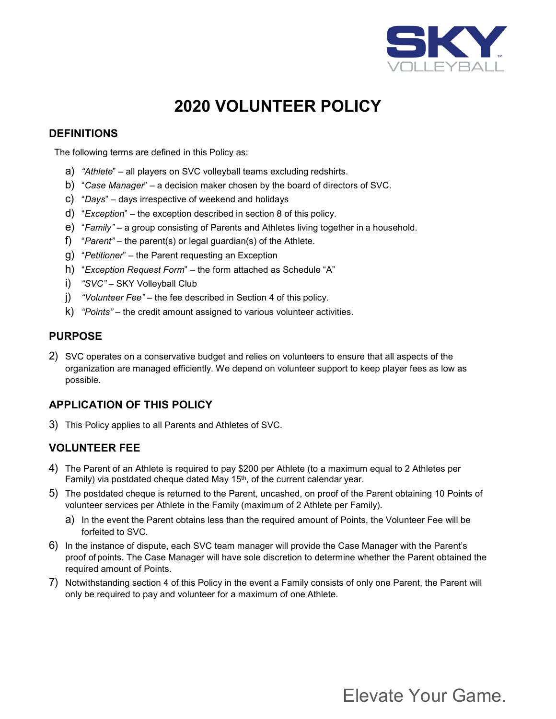

# **2020 VOLUNTEER POLICY**

### **DEFINITIONS**

The following terms are defined in this Policy as:

- a) *"Athlete*" all players on SVC volleyball teams excluding redshirts.
- b) "*Case Manager*" a decision maker chosen by the board of directors of SVC.
- c) "*Days*" days irrespective of weekend and holidays
- d) "*Exception*" the exception described in section 8 of this policy.
- e) "*Family" –* a group consisting of Parents and Athletes living together in a household.
- f) "*Parent" –* the parent(s) or legal guardian(s) of the Athlete.
- g) "*Petitioner*" the Parent requesting an Exception
- h) "*Exception Request Form*" the form attached as Schedule "A"
- i) *"SVC"* SKY Volleyball Club
- j) *"Volunteer Fee"* the fee described in Section 4 of this policy.
- k) *"Points"* the credit amount assigned to various volunteer activities.

#### **PURPOSE**

2) SVC operates on a conservative budget and relies on volunteers to ensure that all aspects of the organization are managed efficiently. We depend on volunteer support to keep player fees as low as possible.

# **APPLICATION OF THIS POLICY**

3) This Policy applies to all Parents and Athletes of SVC.

### **VOLUNTEER FEE**

- 4) The Parent of an Athlete is required to pay \$200 per Athlete (to a maximum equal to 2 Athletes per Family) via postdated cheque dated May 15<sup>th</sup>, of the current calendar year.
- 5) The postdated cheque is returned to the Parent, uncashed, on proof of the Parent obtaining 10 Points of volunteer services per Athlete in the Family (maximum of 2 Athlete per Family).
	- a) In the event the Parent obtains less than the required amount of Points, the Volunteer Fee will be forfeited to SVC.
- 6) In the instance of dispute, each SVC team manager will provide the Case Manager with the Parent's proof of points. The Case Manager will have sole discretion to determine whether the Parent obtained the required amount of Points.
- 7) Notwithstanding section 4 of this Policy in the event a Family consists of only one Parent, the Parent will only be required to pay and volunteer for a maximum of one Athlete.